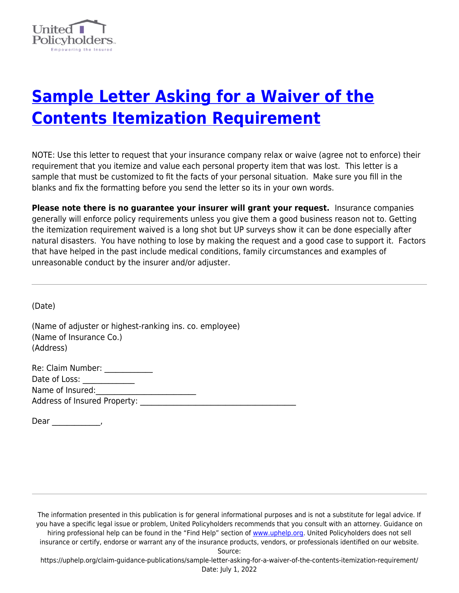

## **[Sample Letter Asking for a Waiver of the](https://uphelp.org/claim-guidance-publications/sample-letter-asking-for-a-waiver-of-the-contents-itemization-requirement/) [Contents Itemization Requirement](https://uphelp.org/claim-guidance-publications/sample-letter-asking-for-a-waiver-of-the-contents-itemization-requirement/)**

NOTE: Use this letter to request that your insurance company relax or waive (agree not to enforce) their requirement that you itemize and value each personal property item that was lost. This letter is a sample that must be customized to fit the facts of your personal situation. Make sure you fill in the blanks and fix the formatting before you send the letter so its in your own words.

**Please note there is no guarantee your insurer will grant your request.** Insurance companies generally will enforce policy requirements unless you give them a good business reason not to. Getting the itemization requirement waived is a long shot but UP surveys show it can be done especially after natural disasters. You have nothing to lose by making the request and a good case to support it. Factors that have helped in the past include medical conditions, family circumstances and examples of unreasonable conduct by the insurer and/or adjuster.

(Date)

(Name of adjuster or highest-ranking ins. co. employee) (Name of Insurance Co.) (Address)

| Re: Claim Number:                   |  |
|-------------------------------------|--|
| Date of Loss:                       |  |
| Name of Insured:                    |  |
| <b>Address of Insured Property:</b> |  |
|                                     |  |

Dear \_\_\_\_\_\_\_\_\_\_\_\_\_,

The information presented in this publication is for general informational purposes and is not a substitute for legal advice. If you have a specific legal issue or problem, United Policyholders recommends that you consult with an attorney. Guidance on hiring professional help can be found in the "Find Help" section of [www.uphelp.org.](http://www.uphelp.org/) United Policyholders does not sell insurance or certify, endorse or warrant any of the insurance products, vendors, or professionals identified on our website. Source:

https://uphelp.org/claim-guidance-publications/sample-letter-asking-for-a-waiver-of-the-contents-itemization-requirement/ Date: July 1, 2022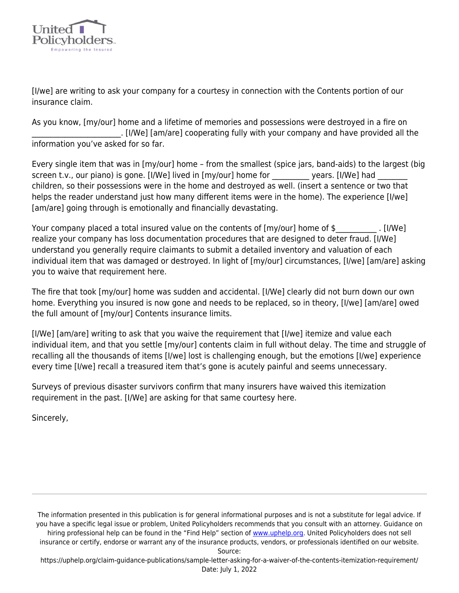

[I/we] are writing to ask your company for a courtesy in connection with the Contents portion of our insurance claim.

As you know, [my/our] home and a lifetime of memories and possessions were destroyed in a fire on \_\_\_\_\_\_\_\_\_\_\_\_\_\_\_\_\_\_\_\_\_\_\_\_. [I/We] [am/are] cooperating fully with your company and have provided all the information you've asked for so far.

Every single item that was in [my/our] home – from the smallest (spice jars, band-aids) to the largest (big screen t.v., our piano) is gone. [I/We] lived in [my/our] home for example years. [I/We] had children, so their possessions were in the home and destroyed as well. (insert a sentence or two that helps the reader understand just how many different items were in the home). The experience [I/we] [am/are] going through is emotionally and financially devastating.

Your company placed a total insured value on the contents of [my/our] home of \$ [I/We] realize your company has loss documentation procedures that are designed to deter fraud. [I/We] understand you generally require claimants to submit a detailed inventory and valuation of each individual item that was damaged or destroyed. In light of [my/our] circumstances, [I/we] [am/are] asking you to waive that requirement here.

The fire that took [my/our] home was sudden and accidental. [I/We] clearly did not burn down our own home. Everything you insured is now gone and needs to be replaced, so in theory, [I/we] [am/are] owed the full amount of [my/our] Contents insurance limits.

[I/We] [am/are] writing to ask that you waive the requirement that [I/we] itemize and value each individual item, and that you settle [my/our] contents claim in full without delay. The time and struggle of recalling all the thousands of items [I/we] lost is challenging enough, but the emotions [I/we] experience every time [I/we] recall a treasured item that's gone is acutely painful and seems unnecessary.

Surveys of previous disaster survivors confirm that many insurers have waived this itemization requirement in the past. [I/We] are asking for that same courtesy here.

Sincerely,

The information presented in this publication is for general informational purposes and is not a substitute for legal advice. If you have a specific legal issue or problem, United Policyholders recommends that you consult with an attorney. Guidance on hiring professional help can be found in the "Find Help" section of [www.uphelp.org.](http://www.uphelp.org/) United Policyholders does not sell insurance or certify, endorse or warrant any of the insurance products, vendors, or professionals identified on our website. Source:

https://uphelp.org/claim-guidance-publications/sample-letter-asking-for-a-waiver-of-the-contents-itemization-requirement/ Date: July 1, 2022